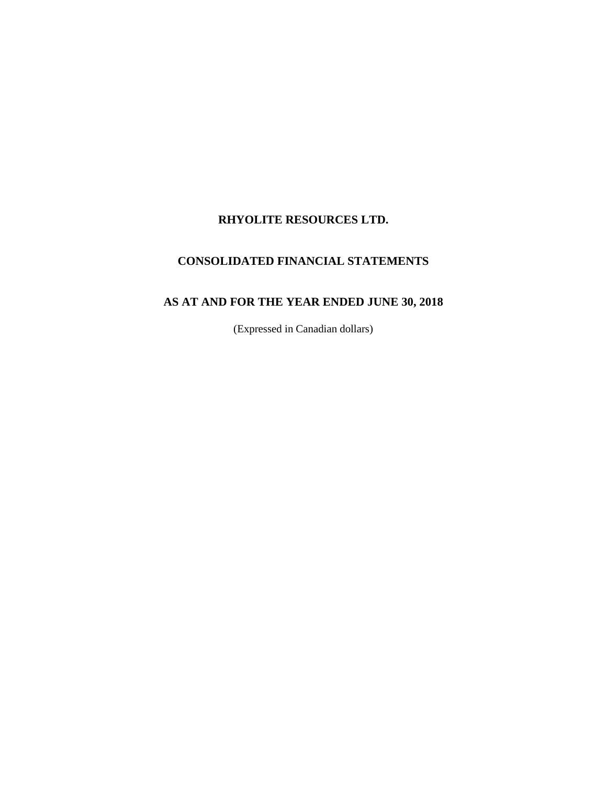# **CONSOLIDATED FINANCIAL STATEMENTS**

# **AS AT AND FOR THE YEAR ENDED JUNE 30, 2018**

(Expressed in Canadian dollars)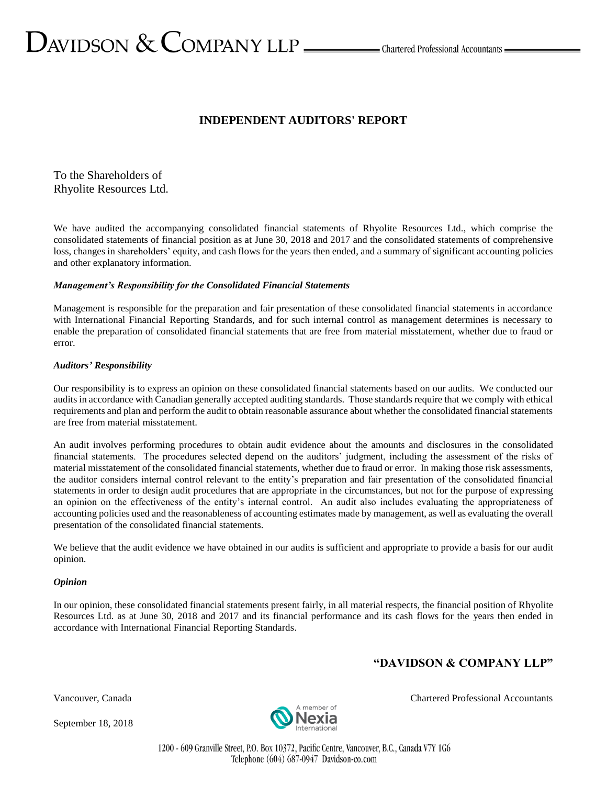# $D_{\text{AVIDSON}} \ \& \ \text{COMPANY LLP} \xrightarrow{\hspace{0.5cm}}$ Chartered Professional Accountants —

# **INDEPENDENT AUDITORS' REPORT**

To the Shareholders of Rhyolite Resources Ltd.

We have audited the accompanying consolidated financial statements of Rhyolite Resources Ltd., which comprise the consolidated statements of financial position as at June 30, 2018 and 2017 and the consolidated statements of comprehensive loss, changes in shareholders' equity, and cash flows for the years then ended, and a summary of significant accounting policies and other explanatory information.

#### *Management's Responsibility for the Consolidated Financial Statements*

Management is responsible for the preparation and fair presentation of these consolidated financial statements in accordance with International Financial Reporting Standards, and for such internal control as management determines is necessary to enable the preparation of consolidated financial statements that are free from material misstatement, whether due to fraud or error.

#### *Auditors' Responsibility*

Our responsibility is to express an opinion on these consolidated financial statements based on our audits. We conducted our audits in accordance with Canadian generally accepted auditing standards. Those standards require that we comply with ethical requirements and plan and perform the audit to obtain reasonable assurance about whether the consolidated financial statements are free from material misstatement.

An audit involves performing procedures to obtain audit evidence about the amounts and disclosures in the consolidated financial statements. The procedures selected depend on the auditors' judgment, including the assessment of the risks of material misstatement of the consolidated financial statements, whether due to fraud or error. In making those risk assessments, the auditor considers internal control relevant to the entity's preparation and fair presentation of the consolidated financial statements in order to design audit procedures that are appropriate in the circumstances, but not for the purpose of expressing an opinion on the effectiveness of the entity's internal control. An audit also includes evaluating the appropriateness of accounting policies used and the reasonableness of accounting estimates made by management, as well as evaluating the overall presentation of the consolidated financial statements.

We believe that the audit evidence we have obtained in our audits is sufficient and appropriate to provide a basis for our audit opinion.

#### *Opinion*

In our opinion, these consolidated financial statements present fairly, in all material respects, the financial position of Rhyolite Resources Ltd. as at June 30, 2018 and 2017 and its financial performance and its cash flows for the years then ended in accordance with International Financial Reporting Standards.

# **"DAVIDSON & COMPANY LLP"**

September 18, 2018



Vancouver, Canada Chartered Professional Accountants

1200 - 609 Granville Street, P.O. Box 10372, Pacific Centre, Vancouver, B.C., Canada V7Y 1G6 Telephone (604) 687-0947 Davidson-co.com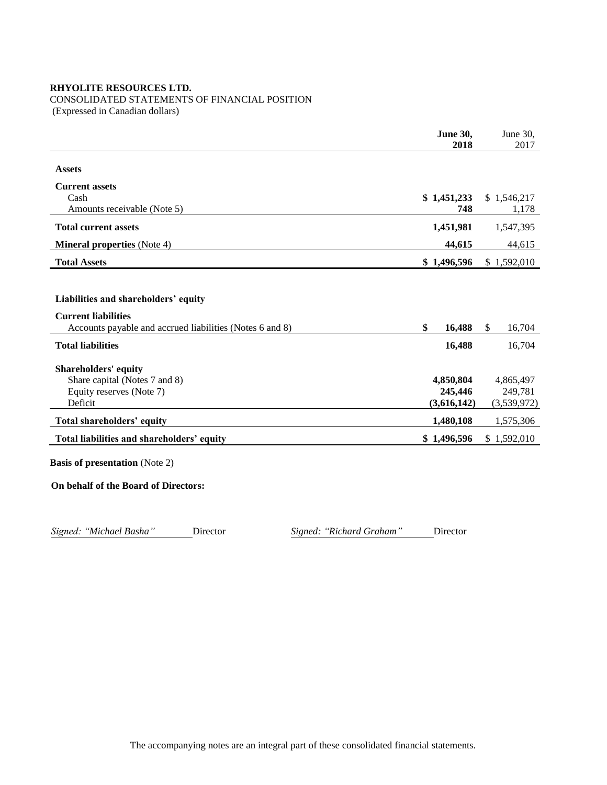# CONSOLIDATED STATEMENTS OF FINANCIAL POSITION

(Expressed in Canadian dollars)

|                                                          | <b>June 30,</b> | June 30,     |
|----------------------------------------------------------|-----------------|--------------|
|                                                          | 2018            | 2017         |
|                                                          |                 |              |
| <b>Assets</b>                                            |                 |              |
| <b>Current assets</b>                                    |                 |              |
| Cash                                                     | \$1,451,233     | \$1,546,217  |
| Amounts receivable (Note 5)                              | 748             | 1,178        |
| <b>Total current assets</b>                              | 1,451,981       | 1,547,395    |
| <b>Mineral properties</b> (Note 4)                       | 44,615          | 44,615       |
| <b>Total Assets</b>                                      | \$1,496,596     | \$1,592,010  |
|                                                          |                 |              |
| Liabilities and shareholders' equity                     |                 |              |
| <b>Current liabilities</b>                               |                 |              |
| Accounts payable and accrued liabilities (Notes 6 and 8) | \$<br>16,488    | 16,704<br>\$ |
| <b>Total liabilities</b>                                 | 16,488          | 16,704       |
| <b>Shareholders' equity</b>                              |                 |              |
| Share capital (Notes 7 and 8)                            | 4,850,804       | 4,865,497    |
| Equity reserves (Note 7)                                 | 245,446         | 249,781      |
| Deficit                                                  | (3,616,142)     | (3,539,972)  |
| Total shareholders' equity                               | 1,480,108       | 1,575,306    |
| Total liabilities and shareholders' equity               | \$1,496,596     | \$1,592,010  |
| <b>Basis of presentation</b> (Note 2)                    |                 |              |
|                                                          |                 |              |
| On behalf of the Board of Directors:                     |                 |              |
|                                                          |                 |              |
|                                                          |                 |              |

*Signed: "Michael Basha"* Director *Signed: "Richard Graham"* Director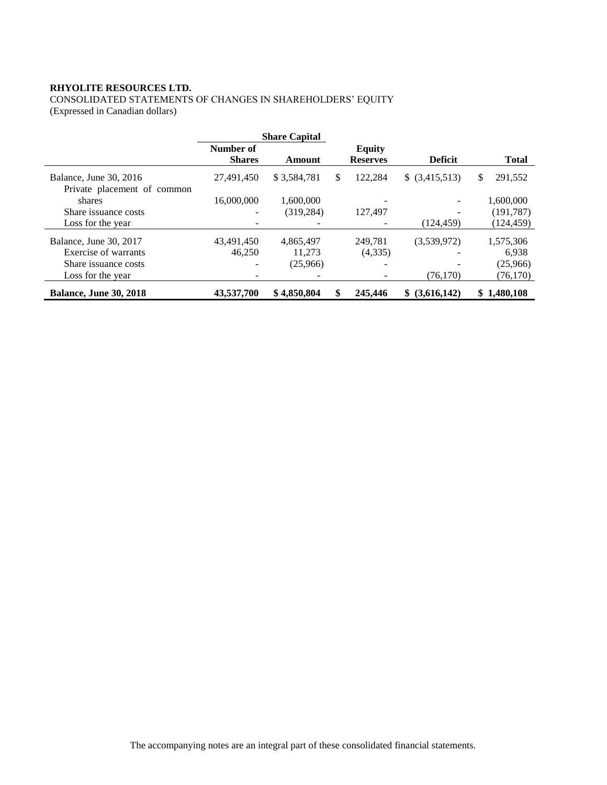CONSOLIDATED STATEMENTS OF CHANGES IN SHAREHOLDERS' EQUITY (Expressed in Canadian dollars)

|                                                       |                            | <b>Share Capital</b> |                                  |                   |               |
|-------------------------------------------------------|----------------------------|----------------------|----------------------------------|-------------------|---------------|
|                                                       | Number of<br><b>Shares</b> | Amount               | <b>Equity</b><br><b>Reserves</b> | <b>Deficit</b>    | <b>Total</b>  |
| Balance, June 30, 2016<br>Private placement of common | 27,491,450                 | \$3,584,781          | \$<br>122.284                    | $$$ $(3,415,513)$ | \$<br>291,552 |
| shares                                                | 16,000,000                 | 1,600,000            |                                  |                   | 1,600,000     |
| Share issuance costs                                  |                            | (319, 284)           | 127.497                          |                   | (191, 787)    |
| Loss for the year                                     |                            |                      |                                  | (124, 459)        | (124, 459)    |
| Balance, June 30, 2017                                | 43,491,450                 | 4,865,497            | 249.781                          | (3,539,972)       | 1,575,306     |
| Exercise of warrants                                  | 46,250                     | 11,273               | (4, 335)                         |                   | 6,938         |
| Share issuance costs                                  |                            | (25,966)             |                                  |                   | (25,966)      |
| Loss for the year                                     |                            |                      |                                  | (76,170)          | (76,170)      |
| <b>Balance, June 30, 2018</b>                         | 43,537,700                 | \$4,850,804          | \$<br>245,446                    | \$ (3,616,142)    | \$1,480,108   |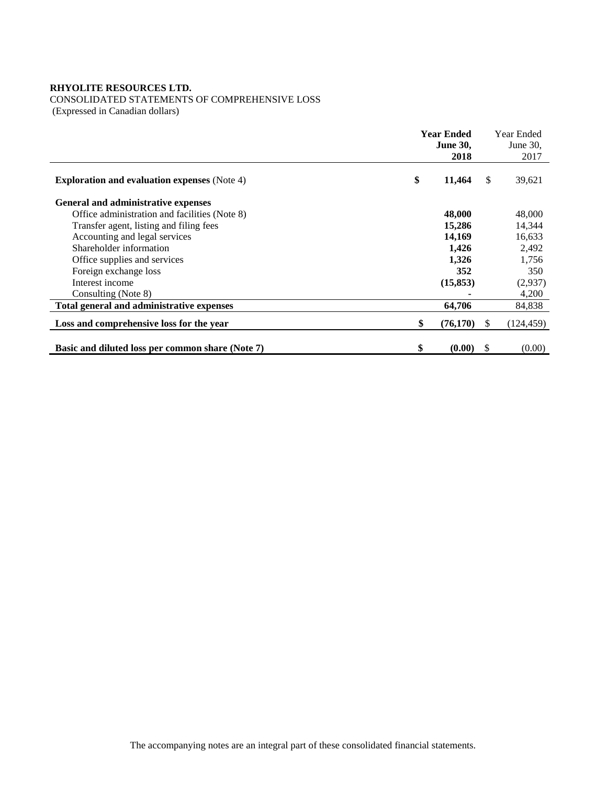# CONSOLIDATED STATEMENTS OF COMPREHENSIVE LOSS

(Expressed in Canadian dollars)

|                                                     | <b>Year Ended</b> |                         |               | Year Ended          |  |
|-----------------------------------------------------|-------------------|-------------------------|---------------|---------------------|--|
|                                                     |                   | <b>June 30,</b><br>2018 |               | June $30$ ,<br>2017 |  |
|                                                     |                   |                         |               |                     |  |
| <b>Exploration and evaluation expenses (Note 4)</b> | \$                | 11,464                  | \$            | 39,621              |  |
| General and administrative expenses                 |                   |                         |               |                     |  |
| Office administration and facilities (Note 8)       |                   | 48,000                  |               | 48,000              |  |
| Transfer agent, listing and filing fees             |                   | 15,286                  |               | 14,344              |  |
| Accounting and legal services                       |                   | 14,169                  |               | 16,633              |  |
| Shareholder information                             |                   | 1,426                   |               | 2,492               |  |
| Office supplies and services                        |                   | 1,326                   |               | 1,756               |  |
| Foreign exchange loss                               |                   | 352                     |               | 350                 |  |
| Interest income                                     |                   | (15, 853)               |               | (2,937)             |  |
| Consulting (Note 8)                                 |                   |                         |               | 4,200               |  |
| Total general and administrative expenses           |                   | 64,706                  |               | 84,838              |  |
| Loss and comprehensive loss for the year            | \$                | (76,170)                | <sup>S</sup>  | (124, 459)          |  |
| Basic and diluted loss per common share (Note 7)    | \$                | (0.00)                  | <sup>\$</sup> | (0.00)              |  |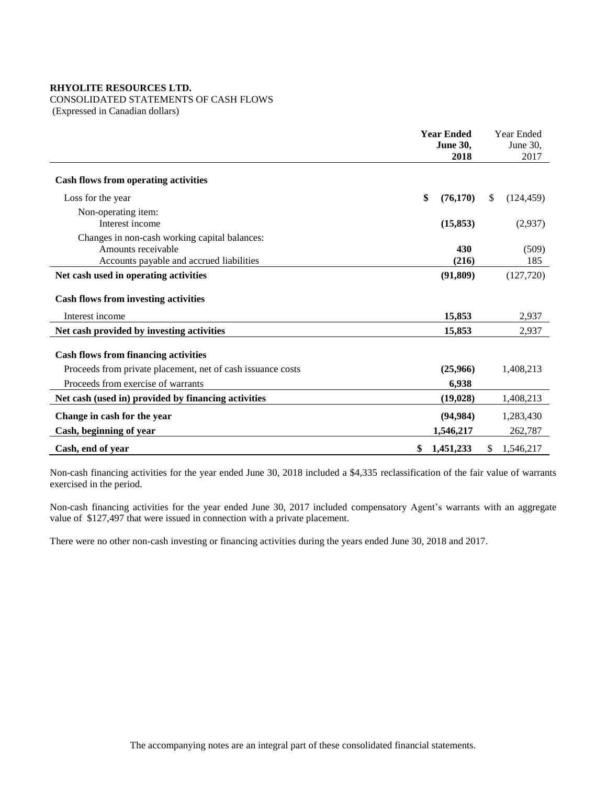## CONSOLIDATED STATEMENTS OF CASH FLOWS

(Expressed in Canadian dollars)

|                                                                                                                 | <b>Year Ended</b><br><b>June 30,</b><br>2018 | Year Ended<br>June 30,<br>2017 |
|-----------------------------------------------------------------------------------------------------------------|----------------------------------------------|--------------------------------|
| <b>Cash flows from operating activities</b>                                                                     |                                              |                                |
| Loss for the year                                                                                               | \$<br>(76,170)                               | \$.<br>(124, 459)              |
| Non-operating item:<br>Interest income                                                                          | (15, 853)                                    | (2,937)                        |
| Changes in non-cash working capital balances:<br>Amounts receivable<br>Accounts payable and accrued liabilities | 430<br>(216)                                 | (509)<br>185                   |
| Net cash used in operating activities                                                                           | (91, 809)                                    | (127, 720)                     |
| <b>Cash flows from investing activities</b>                                                                     |                                              |                                |
| Interest income                                                                                                 | 15,853                                       | 2,937                          |
| Net cash provided by investing activities                                                                       | 15,853                                       | 2,937                          |
| <b>Cash flows from financing activities</b>                                                                     |                                              |                                |
| Proceeds from private placement, net of cash issuance costs                                                     | (25,966)                                     | 1,408,213                      |
| Proceeds from exercise of warrants                                                                              | 6,938                                        |                                |
| Net cash (used in) provided by financing activities                                                             | (19, 028)                                    | 1,408,213                      |
| Change in cash for the year                                                                                     | (94, 984)                                    | 1,283,430                      |
| Cash, beginning of year                                                                                         | 1,546,217                                    | 262,787                        |
| Cash, end of year                                                                                               | \$<br>1,451,233                              | 1,546,217<br>\$.               |

Non-cash financing activities for the year ended June 30, 2018 included a \$4,335 reclassification of the fair value of warrants exercised in the period.

Non-cash financing activities for the year ended June 30, 2017 included compensatory Agent's warrants with an aggregate value of \$127,497 that were issued in connection with a private placement.

There were no other non-cash investing or financing activities during the years ended June 30, 2018 and 2017.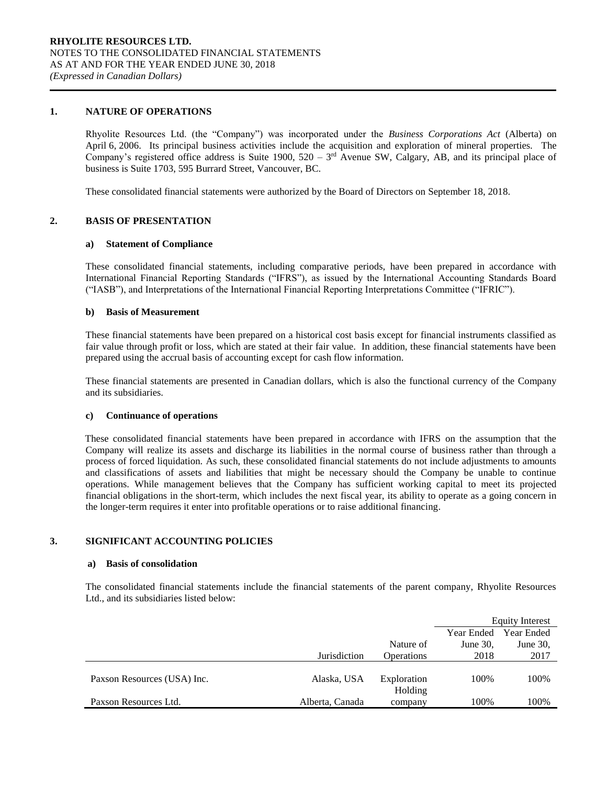#### **1. NATURE OF OPERATIONS**

Rhyolite Resources Ltd. (the "Company") was incorporated under the *Business Corporations Act* (Alberta) on April 6, 2006. Its principal business activities include the acquisition and exploration of mineral properties. The Company's registered office address is Suite 1900,  $520 - 3<sup>rd</sup>$  Avenue SW, Calgary, AB, and its principal place of business is Suite 1703, 595 Burrard Street, Vancouver, BC.

These consolidated financial statements were authorized by the Board of Directors on September 18, 2018.

#### **2. BASIS OF PRESENTATION**

#### **a) Statement of Compliance**

These consolidated financial statements, including comparative periods, have been prepared in accordance with International Financial Reporting Standards ("IFRS"), as issued by the International Accounting Standards Board ("IASB"), and Interpretations of the International Financial Reporting Interpretations Committee ("IFRIC").

#### **b) Basis of Measurement**

These financial statements have been prepared on a historical cost basis except for financial instruments classified as fair value through profit or loss, which are stated at their fair value. In addition, these financial statements have been prepared using the accrual basis of accounting except for cash flow information.

These financial statements are presented in Canadian dollars, which is also the functional currency of the Company and its subsidiaries.

#### **c) Continuance of operations**

These consolidated financial statements have been prepared in accordance with IFRS on the assumption that the Company will realize its assets and discharge its liabilities in the normal course of business rather than through a process of forced liquidation. As such, these consolidated financial statements do not include adjustments to amounts and classifications of assets and liabilities that might be necessary should the Company be unable to continue operations. While management believes that the Company has sufficient working capital to meet its projected financial obligations in the short-term, which includes the next fiscal year, its ability to operate as a going concern in the longer-term requires it enter into profitable operations or to raise additional financing.

#### **3. SIGNIFICANT ACCOUNTING POLICIES**

#### **a) Basis of consolidation**

The consolidated financial statements include the financial statements of the parent company, Rhyolite Resources Ltd., and its subsidiaries listed below:

|                             |                 |                   |                   | <b>Equity Interest</b> |
|-----------------------------|-----------------|-------------------|-------------------|------------------------|
|                             |                 |                   | <b>Year Ended</b> | <b>Year Ended</b>      |
|                             |                 | Nature of         | June 30,          | June $30$ ,            |
|                             | Jurisdiction    | <b>Operations</b> | 2018              | 2017                   |
|                             |                 |                   |                   |                        |
| Paxson Resources (USA) Inc. | Alaska, USA     | Exploration       | 100%              | 100%                   |
|                             |                 | Holding           |                   |                        |
| Paxson Resources Ltd.       | Alberta, Canada | company           | 100%              | 100%                   |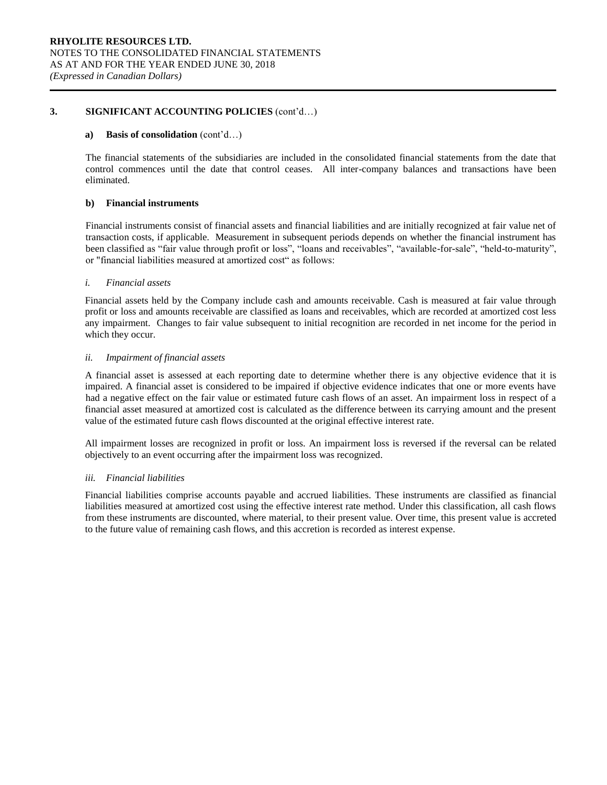#### **a) Basis of consolidation** (cont'd…)

The financial statements of the subsidiaries are included in the consolidated financial statements from the date that control commences until the date that control ceases. All inter-company balances and transactions have been eliminated.

#### **b) Financial instruments**

Financial instruments consist of financial assets and financial liabilities and are initially recognized at fair value net of transaction costs, if applicable. Measurement in subsequent periods depends on whether the financial instrument has been classified as "fair value through profit or loss", "loans and receivables", "available-for-sale", "held-to-maturity", or "financial liabilities measured at amortized cost" as follows:

#### *i. Financial assets*

Financial assets held by the Company include cash and amounts receivable. Cash is measured at fair value through profit or loss and amounts receivable are classified as loans and receivables, which are recorded at amortized cost less any impairment. Changes to fair value subsequent to initial recognition are recorded in net income for the period in which they occur.

#### *ii. Impairment of financial assets*

A financial asset is assessed at each reporting date to determine whether there is any objective evidence that it is impaired. A financial asset is considered to be impaired if objective evidence indicates that one or more events have had a negative effect on the fair value or estimated future cash flows of an asset. An impairment loss in respect of a financial asset measured at amortized cost is calculated as the difference between its carrying amount and the present value of the estimated future cash flows discounted at the original effective interest rate.

All impairment losses are recognized in profit or loss. An impairment loss is reversed if the reversal can be related objectively to an event occurring after the impairment loss was recognized.

#### *iii. Financial liabilities*

Financial liabilities comprise accounts payable and accrued liabilities. These instruments are classified as financial liabilities measured at amortized cost using the effective interest rate method. Under this classification, all cash flows from these instruments are discounted, where material, to their present value. Over time, this present value is accreted to the future value of remaining cash flows, and this accretion is recorded as interest expense.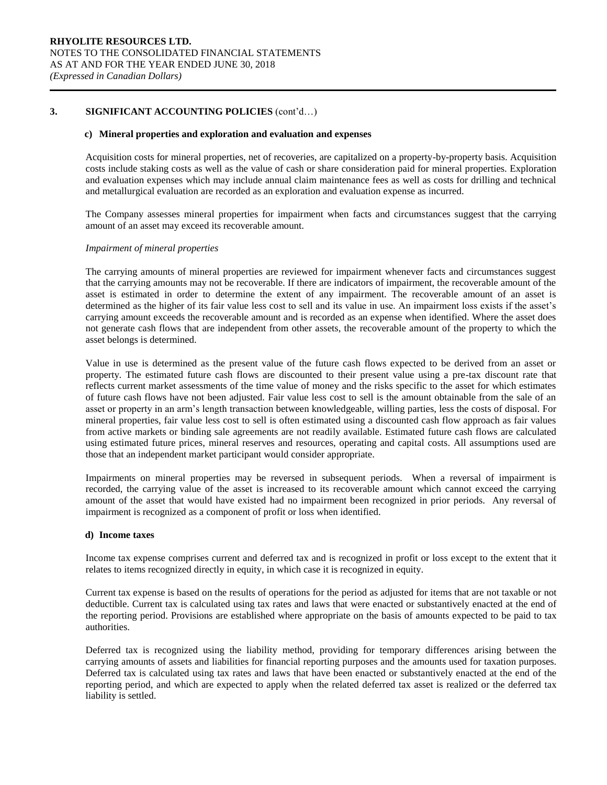#### **c) Mineral properties and exploration and evaluation and expenses**

Acquisition costs for mineral properties, net of recoveries, are capitalized on a property-by-property basis. Acquisition costs include staking costs as well as the value of cash or share consideration paid for mineral properties. Exploration and evaluation expenses which may include annual claim maintenance fees as well as costs for drilling and technical and metallurgical evaluation are recorded as an exploration and evaluation expense as incurred.

The Company assesses mineral properties for impairment when facts and circumstances suggest that the carrying amount of an asset may exceed its recoverable amount.

#### *Impairment of mineral properties*

The carrying amounts of mineral properties are reviewed for impairment whenever facts and circumstances suggest that the carrying amounts may not be recoverable. If there are indicators of impairment, the recoverable amount of the asset is estimated in order to determine the extent of any impairment. The recoverable amount of an asset is determined as the higher of its fair value less cost to sell and its value in use. An impairment loss exists if the asset's carrying amount exceeds the recoverable amount and is recorded as an expense when identified. Where the asset does not generate cash flows that are independent from other assets, the recoverable amount of the property to which the asset belongs is determined.

Value in use is determined as the present value of the future cash flows expected to be derived from an asset or property. The estimated future cash flows are discounted to their present value using a pre-tax discount rate that reflects current market assessments of the time value of money and the risks specific to the asset for which estimates of future cash flows have not been adjusted. Fair value less cost to sell is the amount obtainable from the sale of an asset or property in an arm's length transaction between knowledgeable, willing parties, less the costs of disposal. For mineral properties, fair value less cost to sell is often estimated using a discounted cash flow approach as fair values from active markets or binding sale agreements are not readily available. Estimated future cash flows are calculated using estimated future prices, mineral reserves and resources, operating and capital costs. All assumptions used are those that an independent market participant would consider appropriate.

Impairments on mineral properties may be reversed in subsequent periods. When a reversal of impairment is recorded, the carrying value of the asset is increased to its recoverable amount which cannot exceed the carrying amount of the asset that would have existed had no impairment been recognized in prior periods. Any reversal of impairment is recognized as a component of profit or loss when identified.

#### **d) Income taxes**

Income tax expense comprises current and deferred tax and is recognized in profit or loss except to the extent that it relates to items recognized directly in equity, in which case it is recognized in equity.

Current tax expense is based on the results of operations for the period as adjusted for items that are not taxable or not deductible. Current tax is calculated using tax rates and laws that were enacted or substantively enacted at the end of the reporting period. Provisions are established where appropriate on the basis of amounts expected to be paid to tax authorities.

Deferred tax is recognized using the liability method, providing for temporary differences arising between the carrying amounts of assets and liabilities for financial reporting purposes and the amounts used for taxation purposes. Deferred tax is calculated using tax rates and laws that have been enacted or substantively enacted at the end of the reporting period, and which are expected to apply when the related deferred tax asset is realized or the deferred tax liability is settled.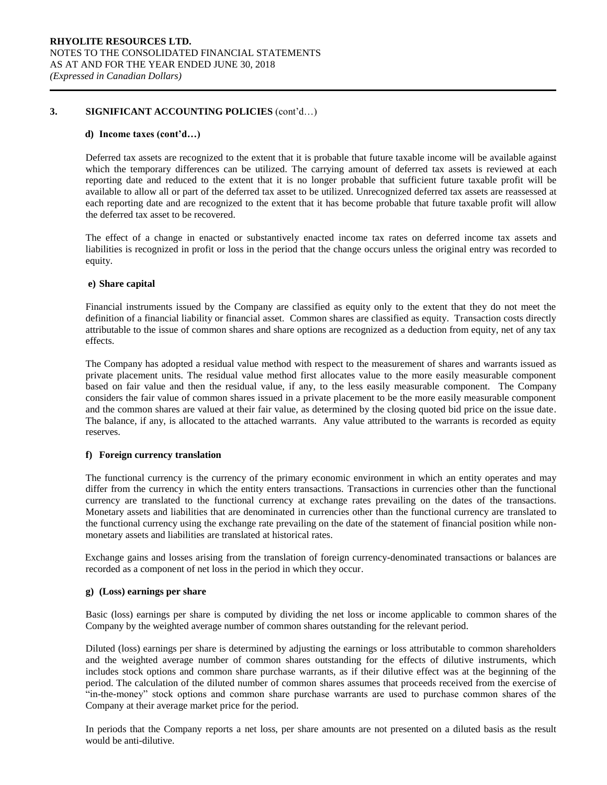#### **d) Income taxes (cont'd…)**

Deferred tax assets are recognized to the extent that it is probable that future taxable income will be available against which the temporary differences can be utilized. The carrying amount of deferred tax assets is reviewed at each reporting date and reduced to the extent that it is no longer probable that sufficient future taxable profit will be available to allow all or part of the deferred tax asset to be utilized. Unrecognized deferred tax assets are reassessed at each reporting date and are recognized to the extent that it has become probable that future taxable profit will allow the deferred tax asset to be recovered.

The effect of a change in enacted or substantively enacted income tax rates on deferred income tax assets and liabilities is recognized in profit or loss in the period that the change occurs unless the original entry was recorded to equity.

#### **e) Share capital**

Financial instruments issued by the Company are classified as equity only to the extent that they do not meet the definition of a financial liability or financial asset. Common shares are classified as equity. Transaction costs directly attributable to the issue of common shares and share options are recognized as a deduction from equity, net of any tax effects.

The Company has adopted a residual value method with respect to the measurement of shares and warrants issued as private placement units. The residual value method first allocates value to the more easily measurable component based on fair value and then the residual value, if any, to the less easily measurable component. The Company considers the fair value of common shares issued in a private placement to be the more easily measurable component and the common shares are valued at their fair value, as determined by the closing quoted bid price on the issue date. The balance, if any, is allocated to the attached warrants. Any value attributed to the warrants is recorded as equity reserves.

#### **f) Foreign currency translation**

The functional currency is the currency of the primary economic environment in which an entity operates and may differ from the currency in which the entity enters transactions. Transactions in currencies other than the functional currency are translated to the functional currency at exchange rates prevailing on the dates of the transactions. Monetary assets and liabilities that are denominated in currencies other than the functional currency are translated to the functional currency using the exchange rate prevailing on the date of the statement of financial position while nonmonetary assets and liabilities are translated at historical rates.

Exchange gains and losses arising from the translation of foreign currency-denominated transactions or balances are recorded as a component of net loss in the period in which they occur.

#### **g) (Loss) earnings per share**

Basic (loss) earnings per share is computed by dividing the net loss or income applicable to common shares of the Company by the weighted average number of common shares outstanding for the relevant period.

Diluted (loss) earnings per share is determined by adjusting the earnings or loss attributable to common shareholders and the weighted average number of common shares outstanding for the effects of dilutive instruments, which includes stock options and common share purchase warrants, as if their dilutive effect was at the beginning of the period. The calculation of the diluted number of common shares assumes that proceeds received from the exercise of "in-the-money" stock options and common share purchase warrants are used to purchase common shares of the Company at their average market price for the period.

In periods that the Company reports a net loss, per share amounts are not presented on a diluted basis as the result would be anti-dilutive.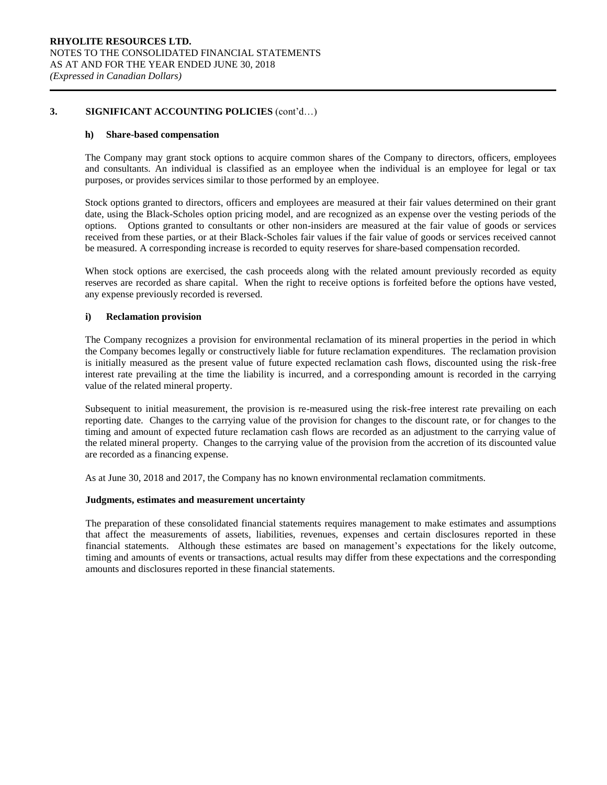#### **h) Share-based compensation**

The Company may grant stock options to acquire common shares of the Company to directors, officers, employees and consultants. An individual is classified as an employee when the individual is an employee for legal or tax purposes, or provides services similar to those performed by an employee.

Stock options granted to directors, officers and employees are measured at their fair values determined on their grant date, using the Black-Scholes option pricing model, and are recognized as an expense over the vesting periods of the options. Options granted to consultants or other non-insiders are measured at the fair value of goods or services received from these parties, or at their Black-Scholes fair values if the fair value of goods or services received cannot be measured. A corresponding increase is recorded to equity reserves for share-based compensation recorded.

When stock options are exercised, the cash proceeds along with the related amount previously recorded as equity reserves are recorded as share capital. When the right to receive options is forfeited before the options have vested, any expense previously recorded is reversed.

#### **i) Reclamation provision**

The Company recognizes a provision for environmental reclamation of its mineral properties in the period in which the Company becomes legally or constructively liable for future reclamation expenditures. The reclamation provision is initially measured as the present value of future expected reclamation cash flows, discounted using the risk-free interest rate prevailing at the time the liability is incurred, and a corresponding amount is recorded in the carrying value of the related mineral property.

Subsequent to initial measurement, the provision is re-measured using the risk-free interest rate prevailing on each reporting date. Changes to the carrying value of the provision for changes to the discount rate, or for changes to the timing and amount of expected future reclamation cash flows are recorded as an adjustment to the carrying value of the related mineral property. Changes to the carrying value of the provision from the accretion of its discounted value are recorded as a financing expense.

As at June 30, 2018 and 2017, the Company has no known environmental reclamation commitments.

#### **Judgments, estimates and measurement uncertainty**

The preparation of these consolidated financial statements requires management to make estimates and assumptions that affect the measurements of assets, liabilities, revenues, expenses and certain disclosures reported in these financial statements. Although these estimates are based on management's expectations for the likely outcome, timing and amounts of events or transactions, actual results may differ from these expectations and the corresponding amounts and disclosures reported in these financial statements.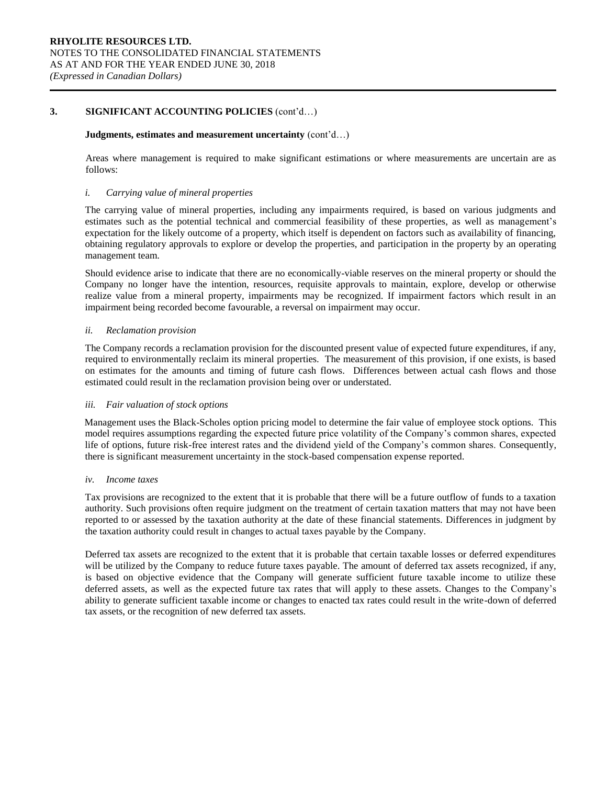#### **Judgments, estimates and measurement uncertainty** (cont'd…)

Areas where management is required to make significant estimations or where measurements are uncertain are as follows:

#### *i. Carrying value of mineral properties*

The carrying value of mineral properties, including any impairments required, is based on various judgments and estimates such as the potential technical and commercial feasibility of these properties, as well as management's expectation for the likely outcome of a property, which itself is dependent on factors such as availability of financing, obtaining regulatory approvals to explore or develop the properties, and participation in the property by an operating management team.

Should evidence arise to indicate that there are no economically-viable reserves on the mineral property or should the Company no longer have the intention, resources, requisite approvals to maintain, explore, develop or otherwise realize value from a mineral property, impairments may be recognized. If impairment factors which result in an impairment being recorded become favourable, a reversal on impairment may occur.

#### *ii. Reclamation provision*

The Company records a reclamation provision for the discounted present value of expected future expenditures, if any, required to environmentally reclaim its mineral properties. The measurement of this provision, if one exists, is based on estimates for the amounts and timing of future cash flows. Differences between actual cash flows and those estimated could result in the reclamation provision being over or understated.

#### *iii. Fair valuation of stock options*

Management uses the Black-Scholes option pricing model to determine the fair value of employee stock options. This model requires assumptions regarding the expected future price volatility of the Company's common shares, expected life of options, future risk-free interest rates and the dividend yield of the Company's common shares. Consequently, there is significant measurement uncertainty in the stock-based compensation expense reported.

#### *iv. Income taxes*

Tax provisions are recognized to the extent that it is probable that there will be a future outflow of funds to a taxation authority. Such provisions often require judgment on the treatment of certain taxation matters that may not have been reported to or assessed by the taxation authority at the date of these financial statements. Differences in judgment by the taxation authority could result in changes to actual taxes payable by the Company.

Deferred tax assets are recognized to the extent that it is probable that certain taxable losses or deferred expenditures will be utilized by the Company to reduce future taxes payable. The amount of deferred tax assets recognized, if any, is based on objective evidence that the Company will generate sufficient future taxable income to utilize these deferred assets, as well as the expected future tax rates that will apply to these assets. Changes to the Company's ability to generate sufficient taxable income or changes to enacted tax rates could result in the write-down of deferred tax assets, or the recognition of new deferred tax assets.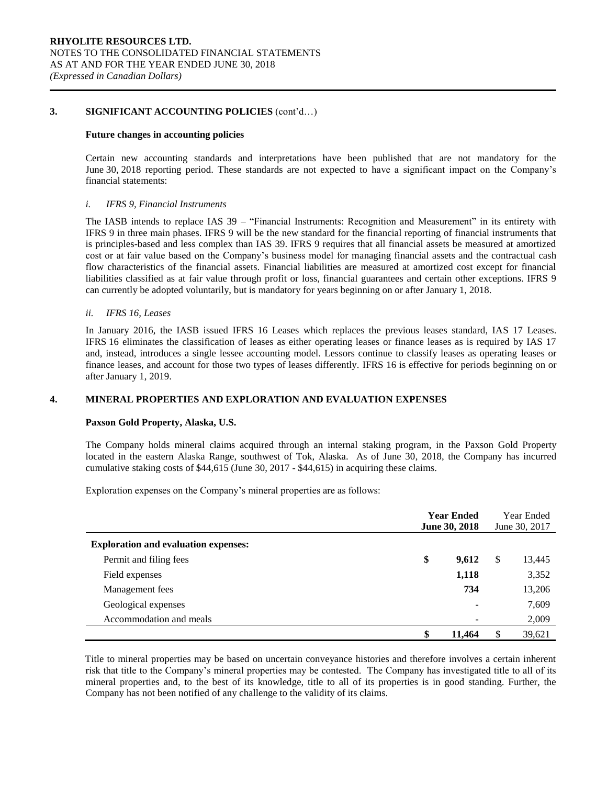#### **Future changes in accounting policies**

Certain new accounting standards and interpretations have been published that are not mandatory for the June 30, 2018 reporting period. These standards are not expected to have a significant impact on the Company's financial statements:

#### *i. IFRS 9, Financial Instruments*

The IASB intends to replace IAS 39 – "Financial Instruments: Recognition and Measurement" in its entirety with IFRS 9 in three main phases. IFRS 9 will be the new standard for the financial reporting of financial instruments that is principles-based and less complex than IAS 39. IFRS 9 requires that all financial assets be measured at amortized cost or at fair value based on the Company's business model for managing financial assets and the contractual cash flow characteristics of the financial assets. Financial liabilities are measured at amortized cost except for financial liabilities classified as at fair value through profit or loss, financial guarantees and certain other exceptions. IFRS 9 can currently be adopted voluntarily, but is mandatory for years beginning on or after January 1, 2018.

#### *ii. IFRS 16, Leases*

In January 2016, the IASB issued IFRS 16 Leases which replaces the previous leases standard, IAS 17 Leases. IFRS 16 eliminates the classification of leases as either operating leases or finance leases as is required by IAS 17 and, instead, introduces a single lessee accounting model. Lessors continue to classify leases as operating leases or finance leases, and account for those two types of leases differently. IFRS 16 is effective for periods beginning on or after January 1, 2019.

#### **4. MINERAL PROPERTIES AND EXPLORATION AND EVALUATION EXPENSES**

#### **Paxson Gold Property, Alaska, U.S.**

The Company holds mineral claims acquired through an internal staking program, in the Paxson Gold Property located in the eastern Alaska Range, southwest of Tok, Alaska. As of June 30, 2018, the Company has incurred cumulative staking costs of \$44,615 (June 30, 2017 - \$44,615) in acquiring these claims.

Exploration expenses on the Company's mineral properties are as follows:

|                                             | <b>Year Ended</b><br><b>June 30, 2018</b> |    | <b>Year Ended</b><br>June 30, 2017 |  |
|---------------------------------------------|-------------------------------------------|----|------------------------------------|--|
| <b>Exploration and evaluation expenses:</b> |                                           |    |                                    |  |
| Permit and filing fees                      | \$<br>9,612                               | S  | 13,445                             |  |
| Field expenses                              | 1,118                                     |    | 3,352                              |  |
| Management fees                             | 734                                       |    | 13,206                             |  |
| Geological expenses                         | ٠                                         |    | 7,609                              |  |
| Accommodation and meals                     |                                           |    | 2,009                              |  |
|                                             | \$<br>11.464                              | \$ | 39,621                             |  |

Title to mineral properties may be based on uncertain conveyance histories and therefore involves a certain inherent risk that title to the Company's mineral properties may be contested. The Company has investigated title to all of its mineral properties and, to the best of its knowledge, title to all of its properties is in good standing. Further, the Company has not been notified of any challenge to the validity of its claims.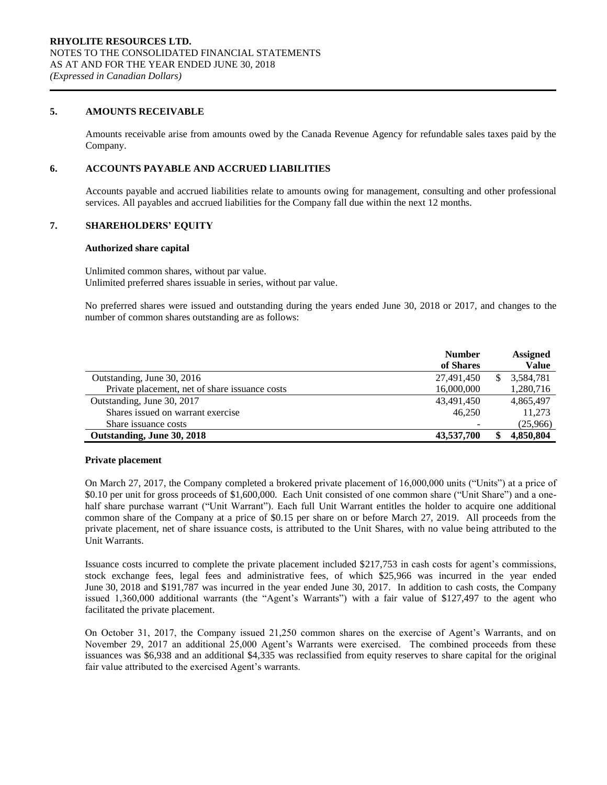#### **5. AMOUNTS RECEIVABLE**

Amounts receivable arise from amounts owed by the Canada Revenue Agency for refundable sales taxes paid by the Company.

#### **6. ACCOUNTS PAYABLE AND ACCRUED LIABILITIES**

Accounts payable and accrued liabilities relate to amounts owing for management, consulting and other professional services. All payables and accrued liabilities for the Company fall due within the next 12 months.

#### **7. SHAREHOLDERS' EQUITY**

#### **Authorized share capital**

Unlimited common shares, without par value. Unlimited preferred shares issuable in series, without par value.

No preferred shares were issued and outstanding during the years ended June 30, 2018 or 2017, and changes to the number of common shares outstanding are as follows:

|                                                | <b>Number</b><br>of Shares | <b>Assigned</b><br>Value |
|------------------------------------------------|----------------------------|--------------------------|
| Outstanding, June 30, 2016                     | 27,491,450                 | 3,584,781                |
| Private placement, net of share issuance costs | 16,000,000                 | 1,280,716                |
| Outstanding, June 30, 2017                     | 43,491,450                 | 4,865,497                |
| Shares issued on warrant exercise              | 46.250                     | 11,273                   |
| Share issuance costs                           |                            | (25,966)                 |
| Outstanding, June 30, 2018                     | 43,537,700                 | 4,850,804                |

#### **Private placement**

On March 27, 2017, the Company completed a brokered private placement of 16,000,000 units ("Units") at a price of \$0.10 per unit for gross proceeds of \$1,600,000. Each Unit consisted of one common share ("Unit Share") and a onehalf share purchase warrant ("Unit Warrant"). Each full Unit Warrant entitles the holder to acquire one additional common share of the Company at a price of \$0.15 per share on or before March 27, 2019. All proceeds from the private placement, net of share issuance costs, is attributed to the Unit Shares, with no value being attributed to the Unit Warrants.

Issuance costs incurred to complete the private placement included \$217,753 in cash costs for agent's commissions, stock exchange fees, legal fees and administrative fees, of which \$25,966 was incurred in the year ended June 30, 2018 and \$191,787 was incurred in the year ended June 30, 2017. In addition to cash costs, the Company issued 1,360,000 additional warrants (the "Agent's Warrants") with a fair value of \$127,497 to the agent who facilitated the private placement.

On October 31, 2017, the Company issued 21,250 common shares on the exercise of Agent's Warrants, and on November 29, 2017 an additional 25,000 Agent's Warrants were exercised. The combined proceeds from these issuances was \$6,938 and an additional \$4,335 was reclassified from equity reserves to share capital for the original fair value attributed to the exercised Agent's warrants.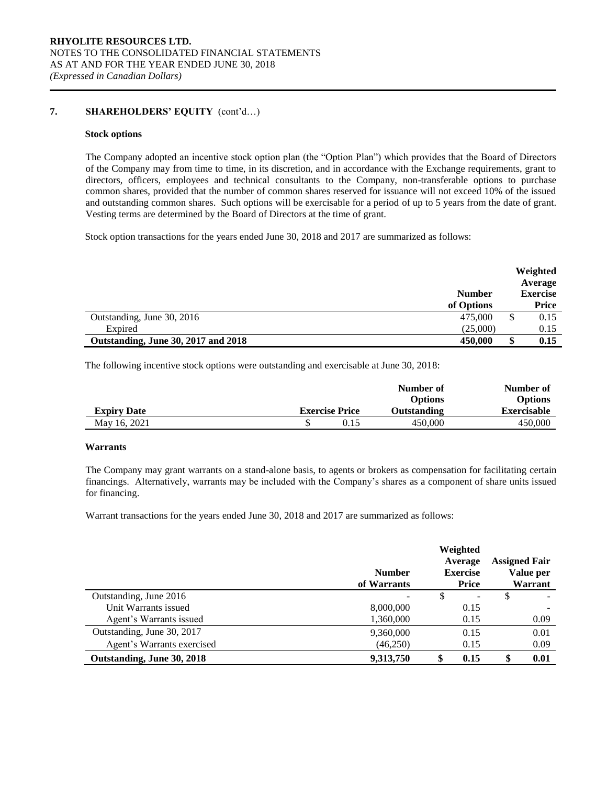#### **7. SHAREHOLDERS' EQUITY** (cont'd…)

#### **Stock options**

The Company adopted an incentive stock option plan (the "Option Plan") which provides that the Board of Directors of the Company may from time to time, in its discretion, and in accordance with the Exchange requirements, grant to directors, officers, employees and technical consultants to the Company, non-transferable options to purchase common shares, provided that the number of common shares reserved for issuance will not exceed 10% of the issued and outstanding common shares. Such options will be exercisable for a period of up to 5 years from the date of grant. Vesting terms are determined by the Board of Directors at the time of grant.

Stock option transactions for the years ended June 30, 2018 and 2017 are summarized as follows:

|                                     |               | Weighted        |
|-------------------------------------|---------------|-----------------|
|                                     |               | Average         |
|                                     | <b>Number</b> | <b>Exercise</b> |
|                                     | of Options    | Price           |
| Outstanding, June 30, 2016          | 475,000       | 0.15            |
| Expired                             | (25,000)      | 0.15            |
| Outstanding, June 30, 2017 and 2018 | 450,000       | 0.15            |

The following incentive stock options were outstanding and exercisable at June 30, 2018:

|                    |                       | Number of      | Number of          |
|--------------------|-----------------------|----------------|--------------------|
|                    |                       | <b>Options</b> | <b>Options</b>     |
| <b>Expiry Date</b> | <b>Exercise Price</b> | Outstanding    | <b>Exercisable</b> |
| May 16, 2021       | 0.15                  | 450,000        | 450,000            |

#### **Warrants**

The Company may grant warrants on a stand-alone basis, to agents or brokers as compensation for facilitating certain financings. Alternatively, warrants may be included with the Company's shares as a component of share units issued for financing.

Warrant transactions for the years ended June 30, 2018 and 2017 are summarized as follows:

|                            | <b>Number</b><br>of Warrants |    | Weighted<br>Average<br><b>Exercise</b><br>Price |   | <b>Assigned Fair</b><br>Value per<br>Warrant |
|----------------------------|------------------------------|----|-------------------------------------------------|---|----------------------------------------------|
| Outstanding, June 2016     |                              | S  | -                                               | S |                                              |
| Unit Warrants issued       | 8,000,000                    |    | 0.15                                            |   | $\overline{\phantom{0}}$                     |
| Agent's Warrants issued    | 1,360,000                    |    | 0.15                                            |   | 0.09                                         |
| Outstanding, June 30, 2017 | 9,360,000                    |    | 0.15                                            |   | 0.01                                         |
| Agent's Warrants exercised | (46,250)                     |    | 0.15                                            |   | 0.09                                         |
| Outstanding, June 30, 2018 | 9,313,750                    | \$ | 0.15                                            |   | 0.01                                         |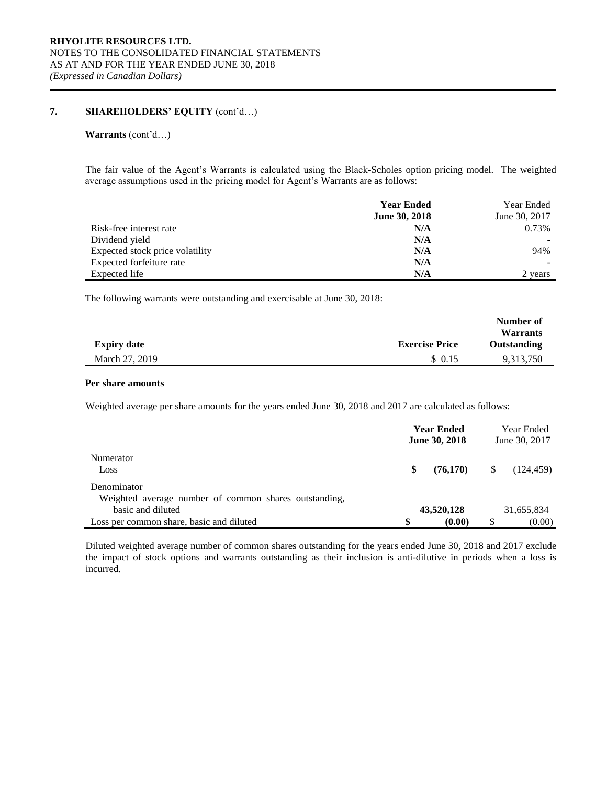#### **7. SHAREHOLDERS' EQUITY** (cont'd…)

#### **Warrants** (cont'd…)

The fair value of the Agent's Warrants is calculated using the Black-Scholes option pricing model. The weighted average assumptions used in the pricing model for Agent's Warrants are as follows:

|                                 | <b>Year Ended</b>    | Year Ended    |
|---------------------------------|----------------------|---------------|
|                                 | <b>June 30, 2018</b> | June 30, 2017 |
| Risk-free interest rate         | N/A                  | 0.73%         |
| Dividend yield                  | N/A                  |               |
| Expected stock price volatility | N/A                  | 94%           |
| Expected forfeiture rate        | N/A                  |               |
| Expected life                   | N/A                  | 2 years       |

The following warrants were outstanding and exercisable at June 30, 2018:

|                    |                       | Number of<br><b>Warrants</b> |
|--------------------|-----------------------|------------------------------|
| <b>Expiry date</b> | <b>Exercise Price</b> | Outstanding                  |
| March 27, 2019     | \$ 0.15               | 9,313,750                    |

#### **Per share amounts**

Weighted average per share amounts for the years ended June 30, 2018 and 2017 are calculated as follows:

|                                                       |            | <b>Year Ended</b><br><b>June 30, 2018</b> |            | <b>Year Ended</b><br>June 30, 2017 |
|-------------------------------------------------------|------------|-------------------------------------------|------------|------------------------------------|
| Numerator<br>Loss                                     | \$         | (76,170)                                  |            | (124.459)                          |
| Denominator                                           |            |                                           |            |                                    |
| Weighted average number of common shares outstanding, |            |                                           |            |                                    |
| basic and diluted                                     | 43,520,128 |                                           | 31,655,834 |                                    |
| Loss per common share, basic and diluted              |            | (0.00)                                    |            | (0.00)                             |

Diluted weighted average number of common shares outstanding for the years ended June 30, 2018 and 2017 exclude the impact of stock options and warrants outstanding as their inclusion is anti-dilutive in periods when a loss is incurred.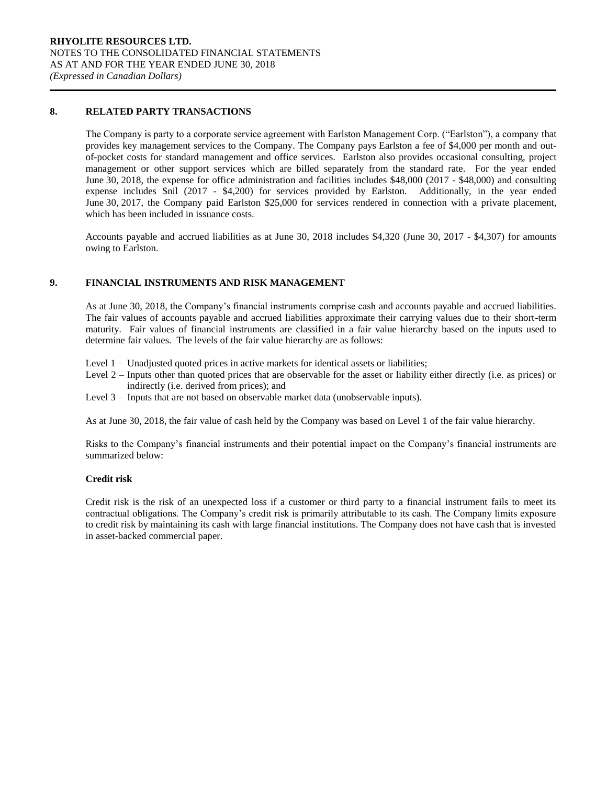#### **8. RELATED PARTY TRANSACTIONS**

The Company is party to a corporate service agreement with Earlston Management Corp. ("Earlston"), a company that provides key management services to the Company. The Company pays Earlston a fee of \$4,000 per month and outof-pocket costs for standard management and office services. Earlston also provides occasional consulting, project management or other support services which are billed separately from the standard rate. For the year ended June 30, 2018, the expense for office administration and facilities includes \$48,000 (2017 - \$48,000) and consulting expense includes \$nil (2017 - \$4,200) for services provided by Earlston. Additionally, in the year ended June 30, 2017, the Company paid Earlston \$25,000 for services rendered in connection with a private placement, which has been included in issuance costs.

Accounts payable and accrued liabilities as at June 30, 2018 includes \$4,320 (June 30, 2017 - \$4,307) for amounts owing to Earlston.

#### **9. FINANCIAL INSTRUMENTS AND RISK MANAGEMENT**

As at June 30, 2018, the Company's financial instruments comprise cash and accounts payable and accrued liabilities. The fair values of accounts payable and accrued liabilities approximate their carrying values due to their short-term maturity. Fair values of financial instruments are classified in a fair value hierarchy based on the inputs used to determine fair values. The levels of the fair value hierarchy are as follows:

- Level 1 Unadjusted quoted prices in active markets for identical assets or liabilities;
- Level 2 Inputs other than quoted prices that are observable for the asset or liability either directly (i.e. as prices) or indirectly (i.e. derived from prices); and
- Level 3 Inputs that are not based on observable market data (unobservable inputs).

As at June 30, 2018, the fair value of cash held by the Company was based on Level 1 of the fair value hierarchy.

Risks to the Company's financial instruments and their potential impact on the Company's financial instruments are summarized below:

#### **Credit risk**

Credit risk is the risk of an unexpected loss if a customer or third party to a financial instrument fails to meet its contractual obligations. The Company's credit risk is primarily attributable to its cash. The Company limits exposure to credit risk by maintaining its cash with large financial institutions. The Company does not have cash that is invested in asset-backed commercial paper.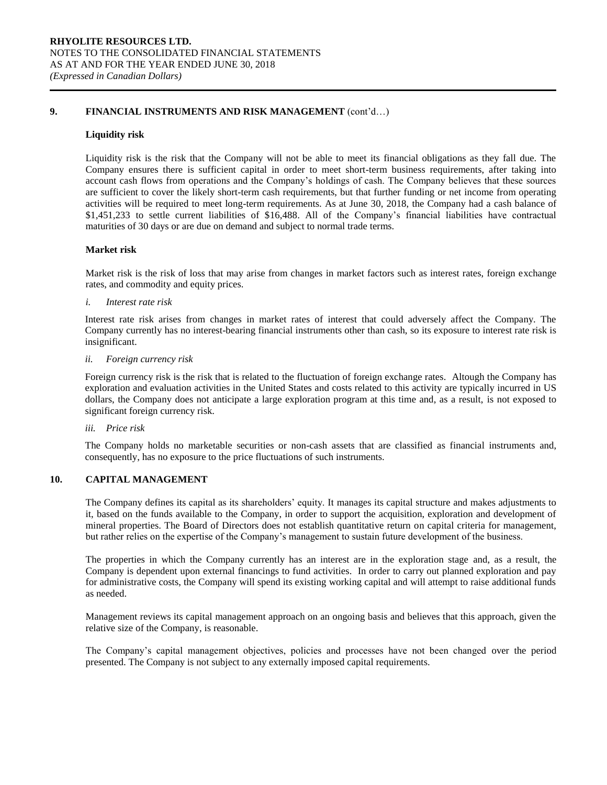#### **9. FINANCIAL INSTRUMENTS AND RISK MANAGEMENT** (cont'd…)

#### **Liquidity risk**

Liquidity risk is the risk that the Company will not be able to meet its financial obligations as they fall due. The Company ensures there is sufficient capital in order to meet short-term business requirements, after taking into account cash flows from operations and the Company's holdings of cash. The Company believes that these sources are sufficient to cover the likely short-term cash requirements, but that further funding or net income from operating activities will be required to meet long-term requirements. As at June 30, 2018, the Company had a cash balance of \$1,451,233 to settle current liabilities of \$16,488. All of the Company's financial liabilities have contractual maturities of 30 days or are due on demand and subject to normal trade terms.

#### **Market risk**

Market risk is the risk of loss that may arise from changes in market factors such as interest rates, foreign exchange rates, and commodity and equity prices.

*i. Interest rate risk* 

Interest rate risk arises from changes in market rates of interest that could adversely affect the Company. The Company currently has no interest-bearing financial instruments other than cash, so its exposure to interest rate risk is insignificant.

#### *ii. Foreign currency risk*

Foreign currency risk is the risk that is related to the fluctuation of foreign exchange rates. Altough the Company has exploration and evaluation activities in the United States and costs related to this activity are typically incurred in US dollars, the Company does not anticipate a large exploration program at this time and, as a result, is not exposed to significant foreign currency risk.

*iii. Price risk* 

The Company holds no marketable securities or non-cash assets that are classified as financial instruments and, consequently, has no exposure to the price fluctuations of such instruments.

#### **10. CAPITAL MANAGEMENT**

The Company defines its capital as its shareholders' equity. It manages its capital structure and makes adjustments to it, based on the funds available to the Company, in order to support the acquisition, exploration and development of mineral properties. The Board of Directors does not establish quantitative return on capital criteria for management, but rather relies on the expertise of the Company's management to sustain future development of the business.

The properties in which the Company currently has an interest are in the exploration stage and, as a result, the Company is dependent upon external financings to fund activities. In order to carry out planned exploration and pay for administrative costs, the Company will spend its existing working capital and will attempt to raise additional funds as needed.

Management reviews its capital management approach on an ongoing basis and believes that this approach, given the relative size of the Company, is reasonable.

The Company's capital management objectives, policies and processes have not been changed over the period presented. The Company is not subject to any externally imposed capital requirements.